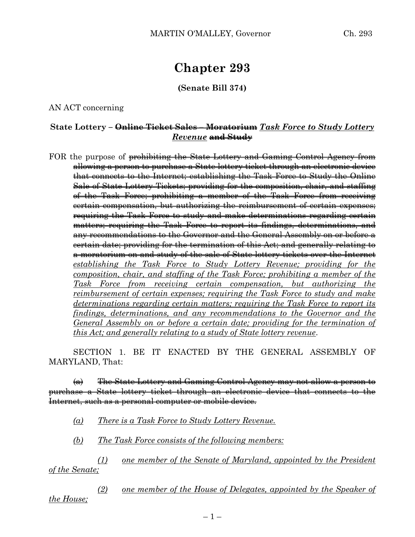## **Chapter 293**

**(Senate Bill 374)**

AN ACT concerning

## **State Lottery – Online Ticket Sales – Moratorium** *Task Force to Study Lottery Revenue* **and Study**

FOR the purpose of prohibiting the State Lottery and Gaming Control Agency from allowing a person to purchase a State lottery ticket through an electronic device that connects to the Internet; establishing the Task Force to Study the Online Sale of State Lottery Tickets; providing for the composition, chair, and staffing of the Task Force; prohibiting a member of the Task Force from receiving certain compensation, but authorizing the reimbursement of certain expenses; requiring the Task Force to study and make determinations regarding certain matters; requiring the Task Force to report its findings, determinations, and any recommendations to the Governor and the General Assembly on or before a certain date; providing for the termination of this Act; and generally relating to a moratorium on and study of the sale of State lottery tickets over the Internet *establishing the Task Force to Study Lottery Revenue; providing for the composition, chair, and staffing of the Task Force; prohibiting a member of the Task Force from receiving certain compensation, but authorizing the reimbursement of certain expenses; requiring the Task Force to study and make determinations regarding certain matters; requiring the Task Force to report its findings, determinations, and any recommendations to the Governor and the General Assembly on or before a certain date; providing for the termination of this Act; and generally relating to a study of State lottery revenue*.

SECTION 1. BE IT ENACTED BY THE GENERAL ASSEMBLY OF MARYLAND, That:

(a) The State Lottery and Gaming Control Agency may not allow a person to purchase a State lottery ticket through an electronic device that connects to the Internet, such as a personal computer or mobile device.

- *(a) There is a Task Force to Study Lottery Revenue.*
- *(b) The Task Force consists of the following members:*

*(1) one member of the Senate of Maryland, appointed by the President of the Senate;*

*(2) one member of the House of Delegates, appointed by the Speaker of the House;*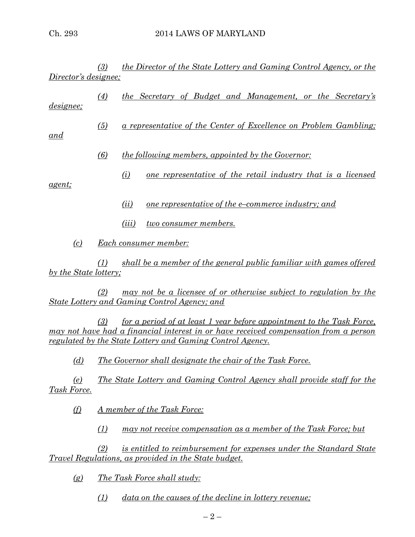*(3) the Director of the State Lottery and Gaming Control Agency, or the Director's designee;*

*(4) the Secretary of Budget and Management, or the Secretary's designee;*

*(5) a representative of the Center of Excellence on Problem Gambling;* 

*and*

- *(6) the following members, appointed by the Governor:*
	- *(i) one representative of the retail industry that is a licensed*

*agent;*

- *(ii) one representative of the e–commerce industry; and*
- *(iii) two consumer members.*
- *(c) Each consumer member:*

*(1) shall be a member of the general public familiar with games offered by the State lottery;*

*(2) may not be a licensee of or otherwise subject to regulation by the State Lottery and Gaming Control Agency; and*

*(3) for a period of at least 1 year before appointment to the Task Force, may not have had a financial interest in or have received compensation from a person regulated by the State Lottery and Gaming Control Agency.*

*(d) The Governor shall designate the chair of the Task Force.*

*(e) The State Lottery and Gaming Control Agency shall provide staff for the Task Force.*

*(f) A member of the Task Force:*

*(1) may not receive compensation as a member of the Task Force; but*

*(2) is entitled to reimbursement for expenses under the Standard State Travel Regulations, as provided in the State budget.*

*(g) The Task Force shall study:*

*(1) data on the causes of the decline in lottery revenue;*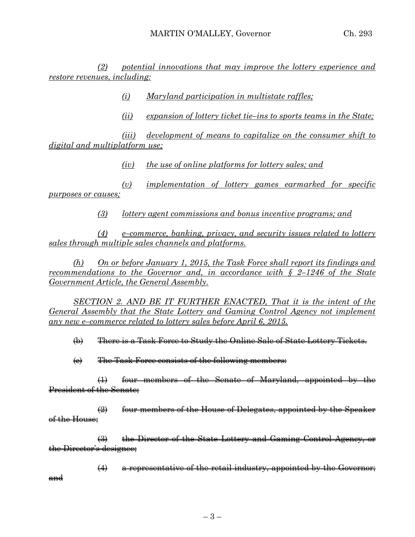*(2) potential innovations that may improve the lottery experience and restore revenues, including:*

*(i) Maryland participation in multistate raffles;*

*(ii) expansion of lottery ticket tie–ins to sports teams in the State;*

*(iii) development of means to capitalize on the consumer shift to digital and multiplatform use;*

*(iv) the use of online platforms for lottery sales; and*

*(v) implementation of lottery games earmarked for specific purposes or causes;*

*(3) lottery agent commissions and bonus incentive programs; and*

*(4) e–commerce, banking, privacy, and security issues related to lottery sales through multiple sales channels and platforms.*

*(h) On or before January 1, 2015, the Task Force shall report its findings and recommendations to the Governor and, in accordance with § 2–1246 of the State Government Article, the General Assembly.*

*SECTION 2. AND BE IT FURTHER ENACTED, That it is the intent of the General Assembly that the State Lottery and Gaming Control Agency not implement any new e–commerce related to lottery sales before April 6, 2015.* 

(b) There is a Task Force to Study the Online Sale of State Lottery Tickets.

 $\left\langle e\right\rangle$  The Task Force consists of the following members:

(1) four members of the Senate of Maryland, appointed by the President of the Senate;

(2) four members of the House of Delegates, appointed by the Speaker of the House;

(3) the Director of the State Lottery and Gaming Control Agency, or the Director's designee;

 $(4)$  a representative of the retail industry, appointed by the Governor; and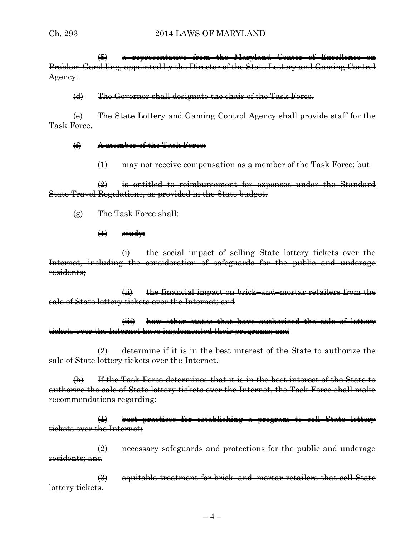(5) a representative from the Maryland Center of Excellence on Problem Gambling, appointed by the Director of the State Lottery and Gaming Control Agency.

(d) The Governor shall designate the chair of the Task Force.

(e) The State Lottery and Gaming Control Agency shall provide staff for the Task Force.

(f) A member of the Task Force:

(1) may not receive compensation as a member of the Task Force; but

 $\frac{1}{2}$  is entitled to reimbursement for expenses under the Standard State Travel Regulations, as provided in the State budget.

- (g) The Task Force shall:
	- $\leftrightarrow$  study:

(i) the social impact of selling State lottery tickets over the Internet, including the consideration of safeguards for the public and underage residents;

(ii) the financial impact on brick–and–mortar retailers from the sale of State lottery tickets over the Internet; and

(iii) how other states that have authorized the sale of lottery tickets over the Internet have implemented their programs; and

 $\left( 2 \right)$  determine if it is in the best interest of the State to authorize the sale of State lottery tickets over the Internet.

(h) If the Task Force determines that it is in the best interest of the State to authorize the sale of State lottery tickets over the Internet, the Task Force shall make recommendations regarding:

(1) best practices for establishing a program to sell State lottery tickets over the Internet;

 $\left( 2\right)$  necessary safeguards and protections for the public and underage residents; and

(3) equitable treatment for brick–and–mortar retailers that sell State lottery tickets.